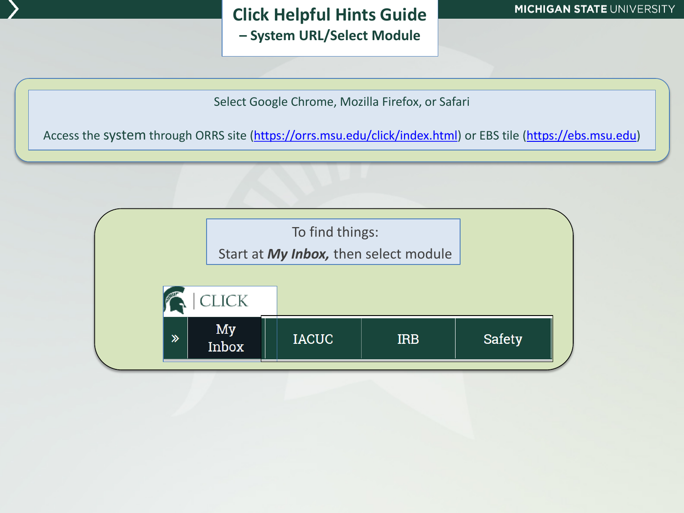## **Click Helpful Hints Guide – System URL/Select Module**

Select Google Chrome, Mozilla Firefox, or Safari

Access the system through ORRS site [\(https://orrs.msu.edu/click/index.html\)](https://orrs.msu.edu/click/index.html) or EBS tile [\(https://ebs.msu.edu](https://ebs.msu.edu/))

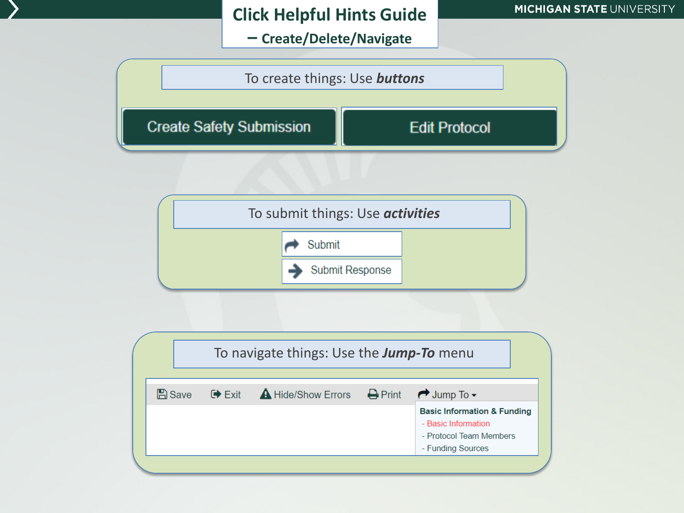# **Click Helpful Hints Guide**

**– Create/Delete/Navigate**





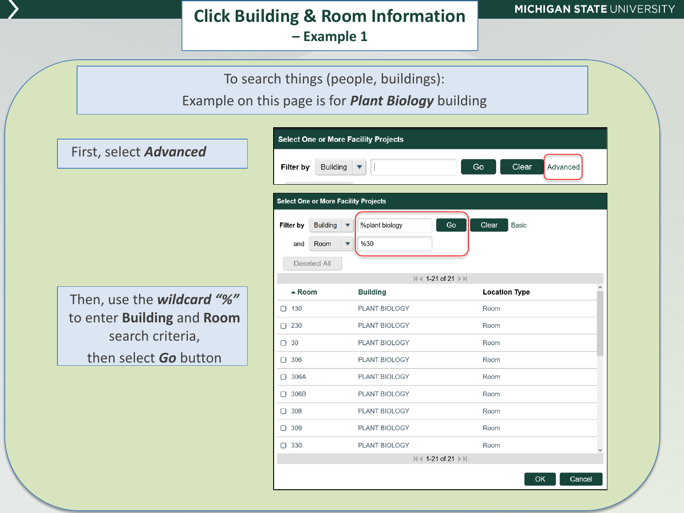## **Click Building & Room Information – Example 1**



Example on this page is for *Plant Biology* building

Then, use the *wildcard "%"*  to enter **Building** and **Room** search criteria,

then select *Go* button

First, select *Advanced*

| <b>Select One or More Facility Projects</b>             |                      |                             |  |  |
|---------------------------------------------------------|----------------------|-----------------------------|--|--|
| Clear<br>Filter by<br><b>Building</b><br>Go<br>Advanced |                      |                             |  |  |
| <b>Select One or More Facility Projects</b>             |                      |                             |  |  |
| <b>Building</b><br>Filter by                            | Mplant biology       | Go<br>Clear<br><b>Basic</b> |  |  |
| Room<br>and                                             | ٠<br>%30             |                             |  |  |
|                                                         |                      |                             |  |  |
| Deselect All                                            |                      |                             |  |  |
| <b>N</b> 4 1-21 of 21 ▶ ▶                               |                      |                             |  |  |
| $\triangle$ Room                                        | <b>Building</b>      | <b>Location Type</b>        |  |  |
| 130<br>0                                                | <b>PLANT BIOLOGY</b> | Room                        |  |  |
| 230<br>П                                                | PLANT BIOLOGY        | Room                        |  |  |
| 30<br>∩                                                 | PLANT BIOLOGY        | Room                        |  |  |
| 306<br>0                                                | <b>PLANT BIOLOGY</b> | Room                        |  |  |
| 306A<br>П                                               | <b>PLANT BIOLOGY</b> | Room                        |  |  |
| 306B<br>П                                               | <b>PLANT BIOLOGY</b> | Room                        |  |  |
| 308<br>П                                                | PLANT BIOLOGY        | Room                        |  |  |
| 309<br>0.                                               | PLANT BIOLOGY        | Room                        |  |  |
| $\Box$ 330                                              | <b>PLANT BIOLOGY</b> | Room                        |  |  |
| $\ \cdot\ $ 1-21 of 21 $\ \cdot\ $                      |                      |                             |  |  |
|                                                         |                      | OK<br>Cancel                |  |  |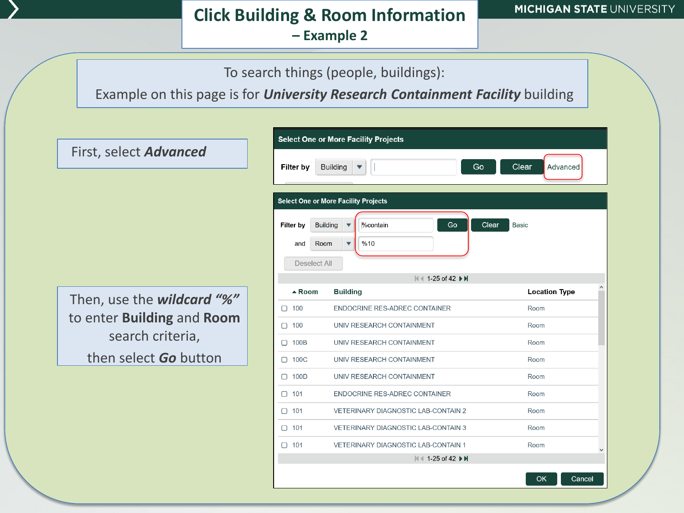#### **Click Building & Room Information – Example 2**

To search things (people, buildings):

Example on this page is for *University Research Containment Facility* building

**Select One or More Facility Projects** First, select *Advanced* Filter by **Building** Go Clear Advanced **Select One or More Facility Projects** Filter by **Building %contain** Go Clear Basic  $%10$ and Room Deselect All M 4 1-25 of 42 ▶ M **Location Type**  $\triangle$  Room **Building** Then, use the *wildcard "%"*   $\Box$  100 ENDOCRINE RES-ADREC CONTAINER Room to enter **Building** and **Room** UNIV RESEARCH CONTAINMENT Room  $\Box$  100 search criteria, □ 100B UNIV RESEARCH CONTAINMENT Room then select *Go* button $\Box$  100C UNIV RESEARCH CONTAINMENT Room  $\Box$  100D UNIV RESEARCH CONTAINMENT Room  $\Box$  101 ENDOCRINE RES-ADREC CONTAINER Room  $\Box$  101 VETERINARY DIAGNOSTIC LAB-CONTAIN 2 Room Room  $\Box$  101 VETERINARY DIAGNOSTIC LAB-CONTAIN 3  $\Box$  101 **VETERINARY DIAGNOSTIC LAB-CONTAIN 1** Room K 1-25 of 42 ▶ N OK Cancel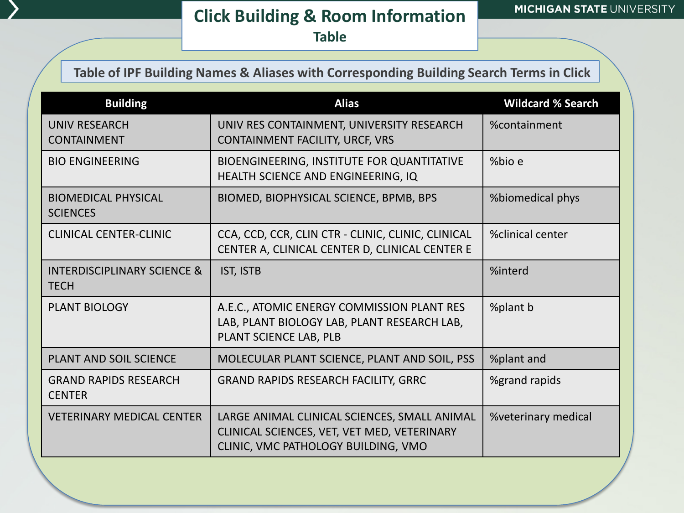## **Click Building & Room Information Table**

#### **Table of IPF Building Names & Aliases with Corresponding Building Search Terms in Click**

| <b>Building</b>                                       | <b>Alias</b>                                                                                                                       | <b>Wildcard % Search</b> |
|-------------------------------------------------------|------------------------------------------------------------------------------------------------------------------------------------|--------------------------|
| <b>UNIV RESEARCH</b><br><b>CONTAINMENT</b>            | UNIV RES CONTAINMENT, UNIVERSITY RESEARCH<br>CONTAINMENT FACILITY, URCF, VRS                                                       | %containment             |
| <b>BIO ENGINEERING</b>                                | BIOENGINEERING, INSTITUTE FOR QUANTITATIVE<br>HEALTH SCIENCE AND ENGINEERING, IQ                                                   | %bio e                   |
| <b>BIOMEDICAL PHYSICAL</b><br><b>SCIENCES</b>         | BIOMED, BIOPHYSICAL SCIENCE, BPMB, BPS                                                                                             | %biomedical phys         |
| <b>CLINICAL CENTER-CLINIC</b>                         | CCA, CCD, CCR, CLIN CTR - CLINIC, CLINIC, CLINICAL<br>CENTER A, CLINICAL CENTER D, CLINICAL CENTER E                               | %clinical center         |
| <b>INTERDISCIPLINARY SCIENCE &amp;</b><br><b>TECH</b> | IST, ISTB                                                                                                                          | %interd                  |
| <b>PLANT BIOLOGY</b>                                  | A.E.C., ATOMIC ENERGY COMMISSION PLANT RES<br>LAB, PLANT BIOLOGY LAB, PLANT RESEARCH LAB,<br>PLANT SCIENCE LAB, PLB                | %plant b                 |
| <b>PLANT AND SOIL SCIENCE</b>                         | MOLECULAR PLANT SCIENCE, PLANT AND SOIL, PSS                                                                                       | %plant and               |
| <b>GRAND RAPIDS RESEARCH</b><br><b>CENTER</b>         | <b>GRAND RAPIDS RESEARCH FACILITY, GRRC</b>                                                                                        | %grand rapids            |
| <b>VETERINARY MEDICAL CENTER</b>                      | LARGE ANIMAL CLINICAL SCIENCES, SMALL ANIMAL<br>CLINICAL SCIENCES, VET, VET MED, VETERINARY<br>CLINIC, VMC PATHOLOGY BUILDING, VMO | %veterinary medical      |